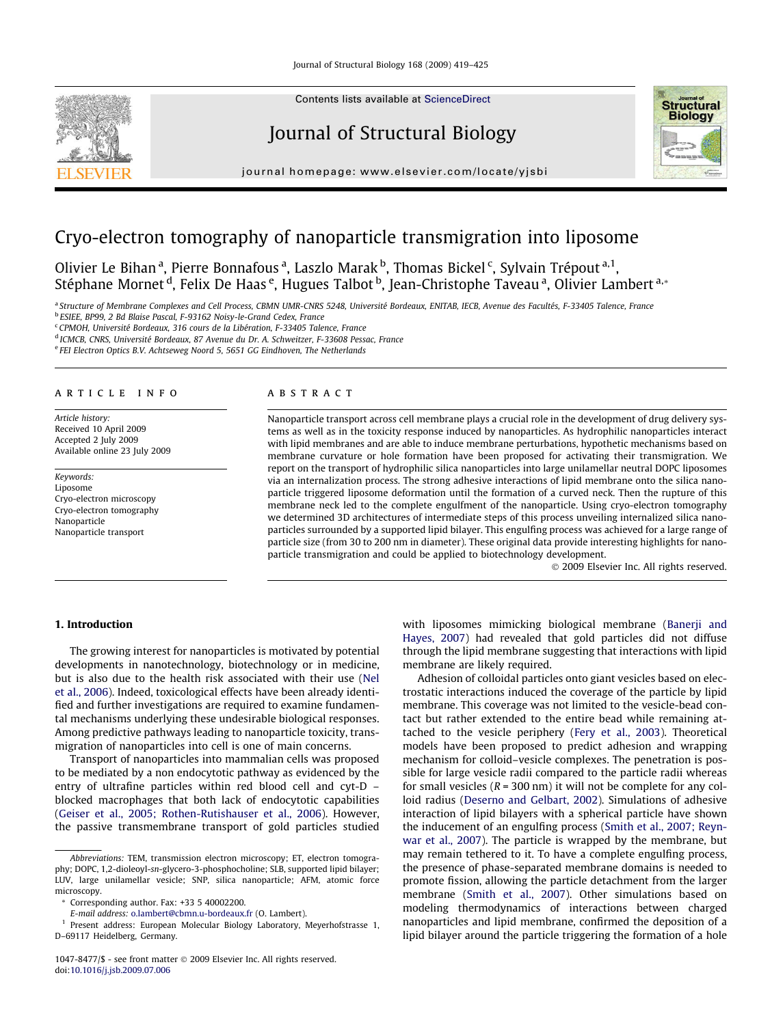

Contents lists available at [ScienceDirect](http://www.sciencedirect.com/science/journal/10478477)

# Journal of Structural Biology



journal homepage: [www.elsevier.com/locate/yjsbi](http://www.elsevier.com/locate/yjsbi)

## Cryo-electron tomography of nanoparticle transmigration into liposome

Olivier Le Bihan<sup>a</sup>, Pierre Bonnafous<sup>a</sup>, Laszlo Marak <sup>b</sup>, Thomas Bickel <sup>c</sup>, Sylvain Trépout <sup>a, 1</sup>, Stéphane Mornet <sup>d</sup>, Felix De Haas <sup>e</sup>, Hugues Talbot <sup>b</sup>, Jean-Christophe Taveau <sup>a</sup>, Olivier Lambert <sup>a,</sup>\*

a Structure of Membrane Complexes and Cell Process, CBMN UMR-CNRS 5248, Université Bordeaux, ENITAB, IECB, Avenue des Facultés, F-33405 Talence, France <sup>b</sup> ESIEE, BP99, 2 Bd Blaise Pascal, F-93162 Noisy-le-Grand Cedex, France

<sup>c</sup> CPMOH, Université Bordeaux, 316 cours de la Libération, F-33405 Talence, France

<sup>d</sup> ICMCB, CNRS, Université Bordeaux, 87 Avenue du Dr. A. Schweitzer, F-33608 Pessac, France

<sup>e</sup> FEI Electron Optics B.V. Achtseweg Noord 5, 5651 GG Eindhoven, The Netherlands

## article info

Article history: Received 10 April 2009 Accepted 2 July 2009 Available online 23 July 2009

Keywords: Liposome Cryo-electron microscopy Cryo-electron tomography Nanoparticle Nanoparticle transport

## ABSTRACT

Nanoparticle transport across cell membrane plays a crucial role in the development of drug delivery systems as well as in the toxicity response induced by nanoparticles. As hydrophilic nanoparticles interact with lipid membranes and are able to induce membrane perturbations, hypothetic mechanisms based on membrane curvature or hole formation have been proposed for activating their transmigration. We report on the transport of hydrophilic silica nanoparticles into large unilamellar neutral DOPC liposomes via an internalization process. The strong adhesive interactions of lipid membrane onto the silica nanoparticle triggered liposome deformation until the formation of a curved neck. Then the rupture of this membrane neck led to the complete engulfment of the nanoparticle. Using cryo-electron tomography we determined 3D architectures of intermediate steps of this process unveiling internalized silica nanoparticles surrounded by a supported lipid bilayer. This engulfing process was achieved for a large range of particle size (from 30 to 200 nm in diameter). These original data provide interesting highlights for nanoparticle transmigration and could be applied to biotechnology development.

- 2009 Elsevier Inc. All rights reserved.

## 1. Introduction

The growing interest for nanoparticles is motivated by potential developments in nanotechnology, biotechnology or in medicine, but is also due to the health risk associated with their use ([Nel](#page-6-0) [et al., 2006\)](#page-6-0). Indeed, toxicological effects have been already identified and further investigations are required to examine fundamental mechanisms underlying these undesirable biological responses. Among predictive pathways leading to nanoparticle toxicity, transmigration of nanoparticles into cell is one of main concerns.

Transport of nanoparticles into mammalian cells was proposed to be mediated by a non endocytotic pathway as evidenced by the entry of ultrafine particles within red blood cell and cyt-D – blocked macrophages that both lack of endocytotic capabilities ([Geiser et al., 2005; Rothen-Rutishauser et al., 2006\)](#page-6-0). However, the passive transmembrane transport of gold particles studied

with liposomes mimicking biological membrane [\(Banerji and](#page-6-0) [Hayes, 2007](#page-6-0)) had revealed that gold particles did not diffuse through the lipid membrane suggesting that interactions with lipid membrane are likely required.

Adhesion of colloidal particles onto giant vesicles based on electrostatic interactions induced the coverage of the particle by lipid membrane. This coverage was not limited to the vesicle-bead contact but rather extended to the entire bead while remaining attached to the vesicle periphery [\(Fery et al., 2003](#page-6-0)). Theoretical models have been proposed to predict adhesion and wrapping mechanism for colloid–vesicle complexes. The penetration is possible for large vesicle radii compared to the particle radii whereas for small vesicles ( $R = 300$  nm) it will not be complete for any colloid radius [\(Deserno and Gelbart, 2002\)](#page-6-0). Simulations of adhesive interaction of lipid bilayers with a spherical particle have shown the inducement of an engulfing process [\(Smith et al., 2007; Reyn](#page-6-0)[war et al., 2007\)](#page-6-0). The particle is wrapped by the membrane, but may remain tethered to it. To have a complete engulfing process, the presence of phase-separated membrane domains is needed to promote fission, allowing the particle detachment from the larger membrane [\(Smith et al., 2007\)](#page-6-0). Other simulations based on modeling thermodynamics of interactions between charged nanoparticles and lipid membrane, confirmed the deposition of a lipid bilayer around the particle triggering the formation of a hole

Abbreviations: TEM, transmission electron microscopy; ET, electron tomography; DOPC, 1,2-dioleoyl-sn-glycero-3-phosphocholine; SLB, supported lipid bilayer; LUV, large unilamellar vesicle; SNP, silica nanoparticle; AFM, atomic force microscopy.

Corresponding author. Fax: +33 5 40002200.

E-mail address: [o.lambert@cbmn.u-bordeaux.fr](mailto:o.lambert@cbmn.u-bordeaux.fr) (O. Lambert).

<sup>&</sup>lt;sup>1</sup> Present address: European Molecular Biology Laboratory, Meyerhofstrasse 1, D–69117 Heidelberg, Germany.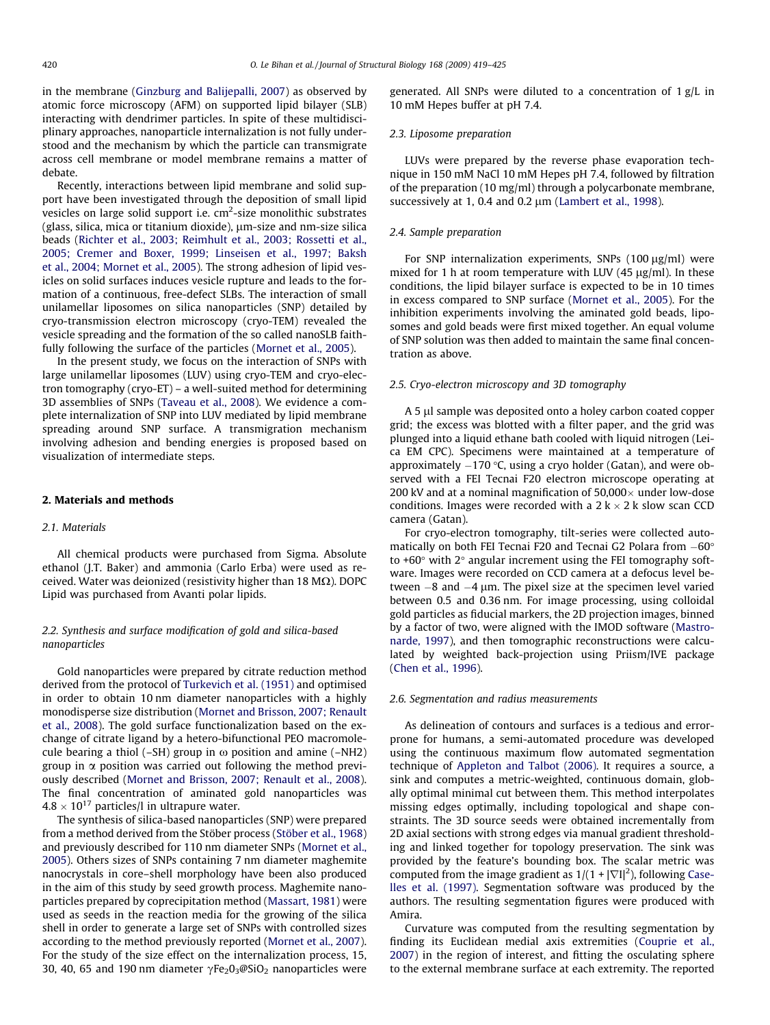<span id="page-1-0"></span>in the membrane [\(Ginzburg and Balijepalli, 2007\)](#page-6-0) as observed by atomic force microscopy (AFM) on supported lipid bilayer (SLB) interacting with dendrimer particles. In spite of these multidisciplinary approaches, nanoparticle internalization is not fully understood and the mechanism by which the particle can transmigrate across cell membrane or model membrane remains a matter of debate.

Recently, interactions between lipid membrane and solid support have been investigated through the deposition of small lipid vesicles on large solid support i.e.  $\text{cm}^2\text{-}$ size monolithic substrates (glass, silica, mica or titanium dioxide),  $\mu$ m-size and nm-size silica beads ([Richter et al., 2003; Reimhult et al., 2003; Rossetti et al.,](#page-6-0) [2005; Cremer and Boxer, 1999; Linseisen et al., 1997; Baksh](#page-6-0) [et al., 2004; Mornet et al., 2005\)](#page-6-0). The strong adhesion of lipid vesicles on solid surfaces induces vesicle rupture and leads to the formation of a continuous, free-defect SLBs. The interaction of small unilamellar liposomes on silica nanoparticles (SNP) detailed by cryo-transmission electron microscopy (cryo-TEM) revealed the vesicle spreading and the formation of the so called nanoSLB faithfully following the surface of the particles [\(Mornet et al., 2005\)](#page-6-0).

In the present study, we focus on the interaction of SNPs with large unilamellar liposomes (LUV) using cryo-TEM and cryo-electron tomography (cryo-ET) – a well-suited method for determining 3D assemblies of SNPs [\(Taveau et al., 2008](#page-6-0)). We evidence a complete internalization of SNP into LUV mediated by lipid membrane spreading around SNP surface. A transmigration mechanism involving adhesion and bending energies is proposed based on visualization of intermediate steps.

#### 2. Materials and methods

#### 2.1. Materials

All chemical products were purchased from Sigma. Absolute ethanol (J.T. Baker) and ammonia (Carlo Erba) were used as received. Water was deionized (resistivity higher than 18 M $\Omega$ ). DOPC Lipid was purchased from Avanti polar lipids.

## 2.2. Synthesis and surface modification of gold and silica-based nanoparticles

Gold nanoparticles were prepared by citrate reduction method derived from the protocol of [Turkevich et al. \(1951\)](#page-6-0) and optimised in order to obtain 10 nm diameter nanoparticles with a highly monodisperse size distribution ([Mornet and Brisson, 2007; Renault](#page-6-0) [et al., 2008\)](#page-6-0). The gold surface functionalization based on the exchange of citrate ligand by a hetero-bifunctional PEO macromolecule bearing a thiol (–SH) group in  $\omega$  position and amine (–NH2) group in  $\alpha$  position was carried out following the method previously described [\(Mornet and Brisson, 2007; Renault et al., 2008\)](#page-6-0). The final concentration of aminated gold nanoparticles was 4.8  $\times$  10 $^{17}$  particles/l in ultrapure water.

The synthesis of silica-based nanoparticles (SNP) were prepared from a method derived from the Stöber process ([Stöber et al., 1968\)](#page-6-0) and previously described for 110 nm diameter SNPs ([Mornet et al.,](#page-6-0) [2005\)](#page-6-0). Others sizes of SNPs containing 7 nm diameter maghemite nanocrystals in core–shell morphology have been also produced in the aim of this study by seed growth process. Maghemite nanoparticles prepared by coprecipitation method [\(Massart, 1981](#page-6-0)) were used as seeds in the reaction media for the growing of the silica shell in order to generate a large set of SNPs with controlled sizes according to the method previously reported [\(Mornet et al., 2007\)](#page-6-0). For the study of the size effect on the internalization process, 15, 30, 40, 65 and 190 nm diameter  $\gamma$ Fe<sub>2</sub>0<sub>3</sub>@SiO<sub>2</sub> nanoparticles were generated. All SNPs were diluted to a concentration of 1 g/L in 10 mM Hepes buffer at pH 7.4.

#### 2.3. Liposome preparation

LUVs were prepared by the reverse phase evaporation technique in 150 mM NaCl 10 mM Hepes pH 7.4, followed by filtration of the preparation (10 mg/ml) through a polycarbonate membrane, successively at 1, 0.4 and 0.2  $\mu$ m ([Lambert et al., 1998\)](#page-6-0).

#### 2.4. Sample preparation

For SNP internalization experiments, SNPs  $(100 \mu g/ml)$  were mixed for 1 h at room temperature with LUV  $(45 \mu g/ml)$ . In these conditions, the lipid bilayer surface is expected to be in 10 times in excess compared to SNP surface ([Mornet et al., 2005](#page-6-0)). For the inhibition experiments involving the aminated gold beads, liposomes and gold beads were first mixed together. An equal volume of SNP solution was then added to maintain the same final concentration as above.

#### 2.5. Cryo-electron microscopy and 3D tomography

A 5 µl sample was deposited onto a holey carbon coated copper grid; the excess was blotted with a filter paper, and the grid was plunged into a liquid ethane bath cooled with liquid nitrogen (Leica EM CPC). Specimens were maintained at a temperature of approximately  $-170$  °C, using a cryo holder (Gatan), and were observed with a FEI Tecnai F20 electron microscope operating at 200 kV and at a nominal magnification of 50,000 $\times$  under low-dose conditions. Images were recorded with a  $2 \, \text{k} \times 2 \, \text{k}$  slow scan CCD camera (Gatan).

For cryo-electron tomography, tilt-series were collected automatically on both FEI Tecnai F20 and Tecnai G2 Polara from  $-60^\circ$ to  $+60^\circ$  with  $2^\circ$  angular increment using the FEI tomography software. Images were recorded on CCD camera at a defocus level between  $-8$  and  $-4$  µm. The pixel size at the specimen level varied between 0.5 and 0.36 nm. For image processing, using colloidal gold particles as fiducial markers, the 2D projection images, binned by a factor of two, were aligned with the IMOD software ([Mastro](#page-6-0)[narde, 1997\)](#page-6-0), and then tomographic reconstructions were calculated by weighted back-projection using Priism/IVE package ([Chen et al., 1996\)](#page-6-0).

#### 2.6. Segmentation and radius measurements

As delineation of contours and surfaces is a tedious and errorprone for humans, a semi-automated procedure was developed using the continuous maximum flow automated segmentation technique of [Appleton and Talbot \(2006\)](#page-6-0). It requires a source, a sink and computes a metric-weighted, continuous domain, globally optimal minimal cut between them. This method interpolates missing edges optimally, including topological and shape constraints. The 3D source seeds were obtained incrementally from 2D axial sections with strong edges via manual gradient thresholding and linked together for topology preservation. The sink was provided by the feature's bounding box. The scalar metric was computed from the image gradient as  $1/(1 + |\nabla I|^2)$ , following [Case](#page-6-0)[lles et al. \(1997\)](#page-6-0). Segmentation software was produced by the authors. The resulting segmentation figures were produced with Amira.

Curvature was computed from the resulting segmentation by finding its Euclidean medial axis extremities [\(Couprie et al.,](#page-6-0) [2007\)](#page-6-0) in the region of interest, and fitting the osculating sphere to the external membrane surface at each extremity. The reported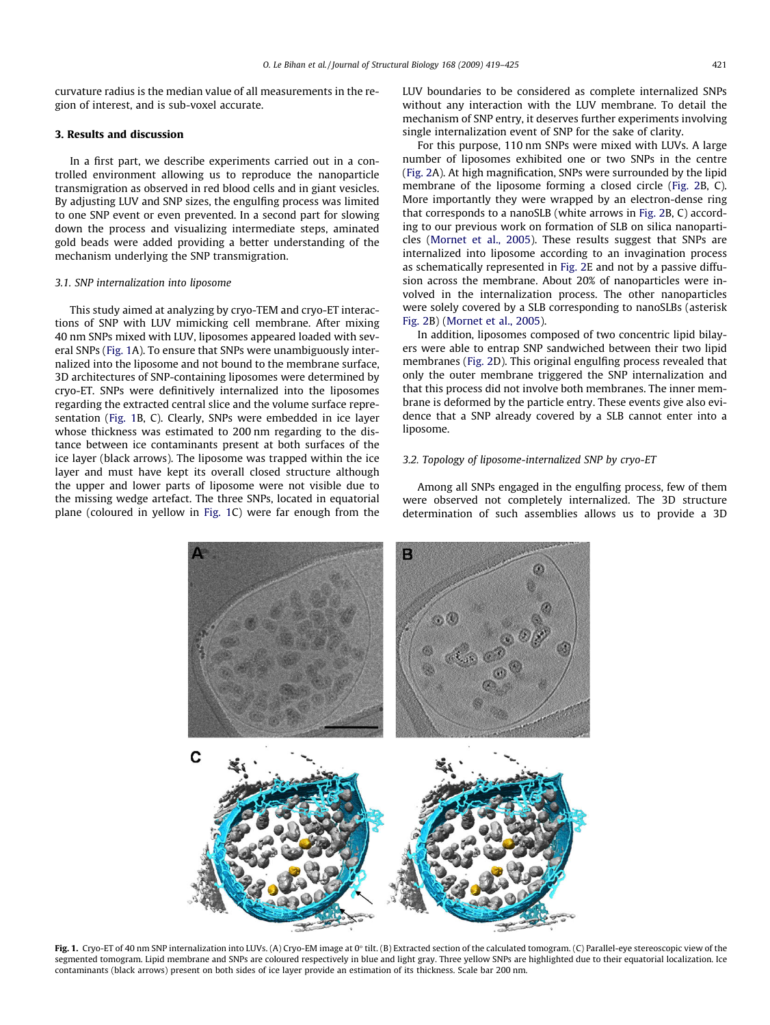<span id="page-2-0"></span>curvature radius is the median value of all measurements in the region of interest, and is sub-voxel accurate.

## 3. Results and discussion

In a first part, we describe experiments carried out in a controlled environment allowing us to reproduce the nanoparticle transmigration as observed in red blood cells and in giant vesicles. By adjusting LUV and SNP sizes, the engulfing process was limited to one SNP event or even prevented. In a second part for slowing down the process and visualizing intermediate steps, aminated gold beads were added providing a better understanding of the mechanism underlying the SNP transmigration.

#### 3.1. SNP internalization into liposome

This study aimed at analyzing by cryo-TEM and cryo-ET interactions of SNP with LUV mimicking cell membrane. After mixing 40 nm SNPs mixed with LUV, liposomes appeared loaded with several SNPs (Fig. 1A). To ensure that SNPs were unambiguously internalized into the liposome and not bound to the membrane surface, 3D architectures of SNP-containing liposomes were determined by cryo-ET. SNPs were definitively internalized into the liposomes regarding the extracted central slice and the volume surface representation (Fig. 1B, C). Clearly, SNPs were embedded in ice layer whose thickness was estimated to 200 nm regarding to the distance between ice contaminants present at both surfaces of the ice layer (black arrows). The liposome was trapped within the ice layer and must have kept its overall closed structure although the upper and lower parts of liposome were not visible due to the missing wedge artefact. The three SNPs, located in equatorial plane (coloured in yellow in Fig. 1C) were far enough from the

LUV boundaries to be considered as complete internalized SNPs without any interaction with the LUV membrane. To detail the mechanism of SNP entry, it deserves further experiments involving single internalization event of SNP for the sake of clarity.

For this purpose, 110 nm SNPs were mixed with LUVs. A large number of liposomes exhibited one or two SNPs in the centre ([Fig. 2](#page-3-0)A). At high magnification, SNPs were surrounded by the lipid membrane of the liposome forming a closed circle [\(Fig. 2B](#page-3-0), C). More importantly they were wrapped by an electron-dense ring that corresponds to a nanoSLB (white arrows in [Fig. 2B](#page-3-0), C) according to our previous work on formation of SLB on silica nanoparticles [\(Mornet et al., 2005\)](#page-6-0). These results suggest that SNPs are internalized into liposome according to an invagination process as schematically represented in [Fig. 2](#page-3-0)E and not by a passive diffusion across the membrane. About 20% of nanoparticles were involved in the internalization process. The other nanoparticles were solely covered by a SLB corresponding to nanoSLBs (asterisk [Fig. 2B](#page-3-0)) ([Mornet et al., 2005](#page-6-0)).

In addition, liposomes composed of two concentric lipid bilayers were able to entrap SNP sandwiched between their two lipid membranes ([Fig. 2D](#page-3-0)). This original engulfing process revealed that only the outer membrane triggered the SNP internalization and that this process did not involve both membranes. The inner membrane is deformed by the particle entry. These events give also evidence that a SNP already covered by a SLB cannot enter into a liposome.

#### 3.2. Topology of liposome-internalized SNP by cryo-ET

Among all SNPs engaged in the engulfing process, few of them were observed not completely internalized. The 3D structure determination of such assemblies allows us to provide a 3D



Fig. 1. Cryo-ET of 40 nm SNP internalization into LUVs. (A) Cryo-EM image at 0° tilt. (B) Extracted section of the calculated tomogram. (C) Parallel-eye stereoscopic view of the segmented tomogram. Lipid membrane and SNPs are coloured respectively in blue and light gray. Three yellow SNPs are highlighted due to their equatorial localization. Ice contaminants (black arrows) present on both sides of ice layer provide an estimation of its thickness. Scale bar 200 nm.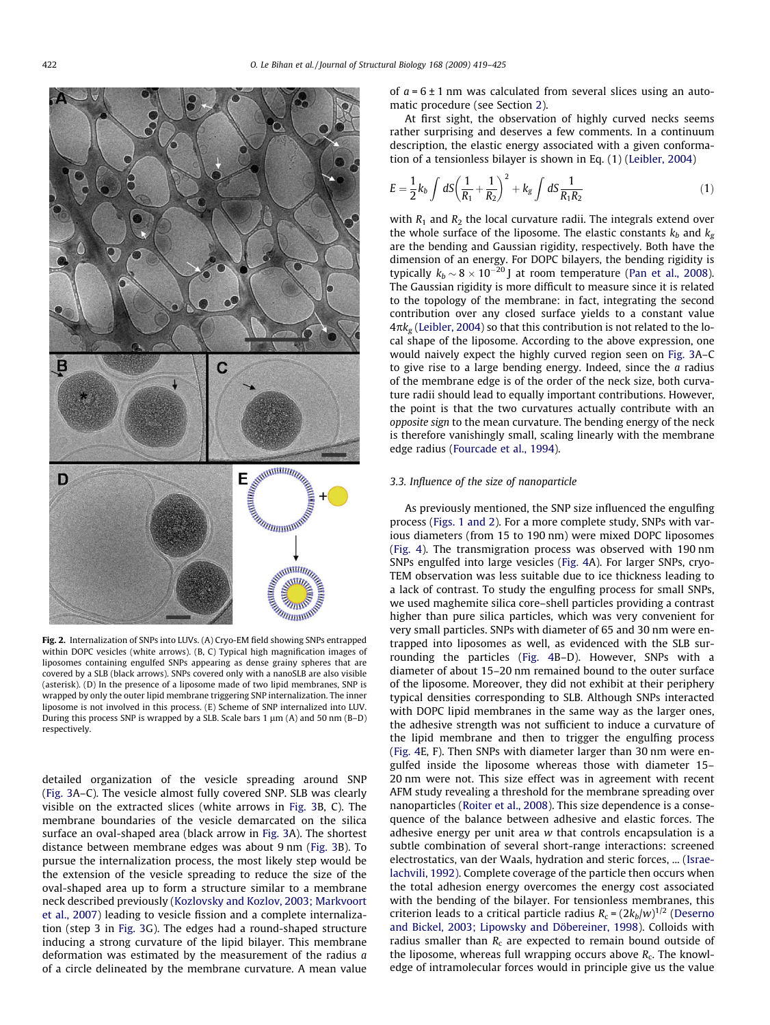<span id="page-3-0"></span>

Fig. 2. Internalization of SNPs into LUVs. (A) Cryo-EM field showing SNPs entrapped within DOPC vesicles (white arrows). (B, C) Typical high magnification images of liposomes containing engulfed SNPs appearing as dense grainy spheres that are covered by a SLB (black arrows). SNPs covered only with a nanoSLB are also visible (asterisk). (D) In the presence of a liposome made of two lipid membranes, SNP is wrapped by only the outer lipid membrane triggering SNP internalization. The inner liposome is not involved in this process. (E) Scheme of SNP internalized into LUV. During this process SNP is wrapped by a SLB. Scale bars 1  $\mu$ m (A) and 50 nm (B–D) respectively.

detailed organization of the vesicle spreading around SNP ([Fig. 3](#page-4-0)A–C). The vesicle almost fully covered SNP. SLB was clearly visible on the extracted slices (white arrows in [Fig. 3B](#page-4-0), C). The membrane boundaries of the vesicle demarcated on the silica surface an oval-shaped area (black arrow in [Fig. 3A](#page-4-0)). The shortest distance between membrane edges was about 9 nm [\(Fig. 3](#page-4-0)B). To pursue the internalization process, the most likely step would be the extension of the vesicle spreading to reduce the size of the oval-shaped area up to form a structure similar to a membrane neck described previously [\(Kozlovsky and Kozlov, 2003; Markvoort](#page-6-0) [et al., 2007](#page-6-0)) leading to vesicle fission and a complete internalization (step 3 in [Fig. 3G](#page-4-0)). The edges had a round-shaped structure inducing a strong curvature of the lipid bilayer. This membrane deformation was estimated by the measurement of the radius a of a circle delineated by the membrane curvature. A mean value of  $a = 6 \pm 1$  nm was calculated from several slices using an automatic procedure (see Section [2](#page-1-0)).

At first sight, the observation of highly curved necks seems rather surprising and deserves a few comments. In a continuum description, the elastic energy associated with a given conformation of a tensionless bilayer is shown in Eq. (1) ([Leibler, 2004\)](#page-6-0)

$$
E = \frac{1}{2}k_b \int dS \left(\frac{1}{R_1} + \frac{1}{R_2}\right)^2 + k_g \int dS \frac{1}{R_1 R_2} \tag{1}
$$

with  $R_1$  and  $R_2$  the local curvature radii. The integrals extend over the whole surface of the liposome. The elastic constants  $k_b$  and  $k_g$ are the bending and Gaussian rigidity, respectively. Both have the dimension of an energy. For DOPC bilayers, the bending rigidity is typically  $k_b \sim 8 \times 10^{-20}$  J at room temperature ([Pan et al., 2008\)](#page-6-0). The Gaussian rigidity is more difficult to measure since it is related to the topology of the membrane: in fact, integrating the second contribution over any closed surface yields to a constant value  $4\pi k_{g}$  [\(Leibler, 2004\)](#page-6-0) so that this contribution is not related to the local shape of the liposome. According to the above expression, one would naively expect the highly curved region seen on [Fig. 3A](#page-4-0)–C to give rise to a large bending energy. Indeed, since the  $a$  radius of the membrane edge is of the order of the neck size, both curvature radii should lead to equally important contributions. However, the point is that the two curvatures actually contribute with an opposite sign to the mean curvature. The bending energy of the neck is therefore vanishingly small, scaling linearly with the membrane edge radius ([Fourcade et al., 1994\)](#page-6-0).

#### 3.3. Influence of the size of nanoparticle

As previously mentioned, the SNP size influenced the engulfing process [\(Figs. 1 and 2](#page-2-0)). For a more complete study, SNPs with various diameters (from 15 to 190 nm) were mixed DOPC liposomes ([Fig. 4](#page-4-0)). The transmigration process was observed with 190 nm SNPs engulfed into large vesicles ([Fig. 4A](#page-4-0)). For larger SNPs, cryo-TEM observation was less suitable due to ice thickness leading to a lack of contrast. To study the engulfing process for small SNPs, we used maghemite silica core–shell particles providing a contrast higher than pure silica particles, which was very convenient for very small particles. SNPs with diameter of 65 and 30 nm were entrapped into liposomes as well, as evidenced with the SLB surrounding the particles [\(Fig. 4B](#page-4-0)–D). However, SNPs with a diameter of about 15–20 nm remained bound to the outer surface of the liposome. Moreover, they did not exhibit at their periphery typical densities corresponding to SLB. Although SNPs interacted with DOPC lipid membranes in the same way as the larger ones, the adhesive strength was not sufficient to induce a curvature of the lipid membrane and then to trigger the engulfing process ([Fig. 4](#page-4-0)E, F). Then SNPs with diameter larger than 30 nm were engulfed inside the liposome whereas those with diameter 15– 20 nm were not. This size effect was in agreement with recent AFM study revealing a threshold for the membrane spreading over nanoparticles ([Roiter et al., 2008](#page-6-0)). This size dependence is a consequence of the balance between adhesive and elastic forces. The adhesive energy per unit area w that controls encapsulation is a subtle combination of several short-range interactions: screened electrostatics, van der Waals, hydration and steric forces, ... [\(Israe](#page-6-0)[lachvili, 1992\).](#page-6-0) Complete coverage of the particle then occurs when the total adhesion energy overcomes the energy cost associated with the bending of the bilayer. For tensionless membranes, this criterion leads to a critical particle radius  $R_c = (2k_b/w)^{1/2}$  ([Deserno](#page-6-0) [and Bickel, 2003; Lipowsky and Döbereiner, 1998\)](#page-6-0). Colloids with radius smaller than  $R_c$  are expected to remain bound outside of the liposome, whereas full wrapping occurs above  $R_c$ . The knowledge of intramolecular forces would in principle give us the value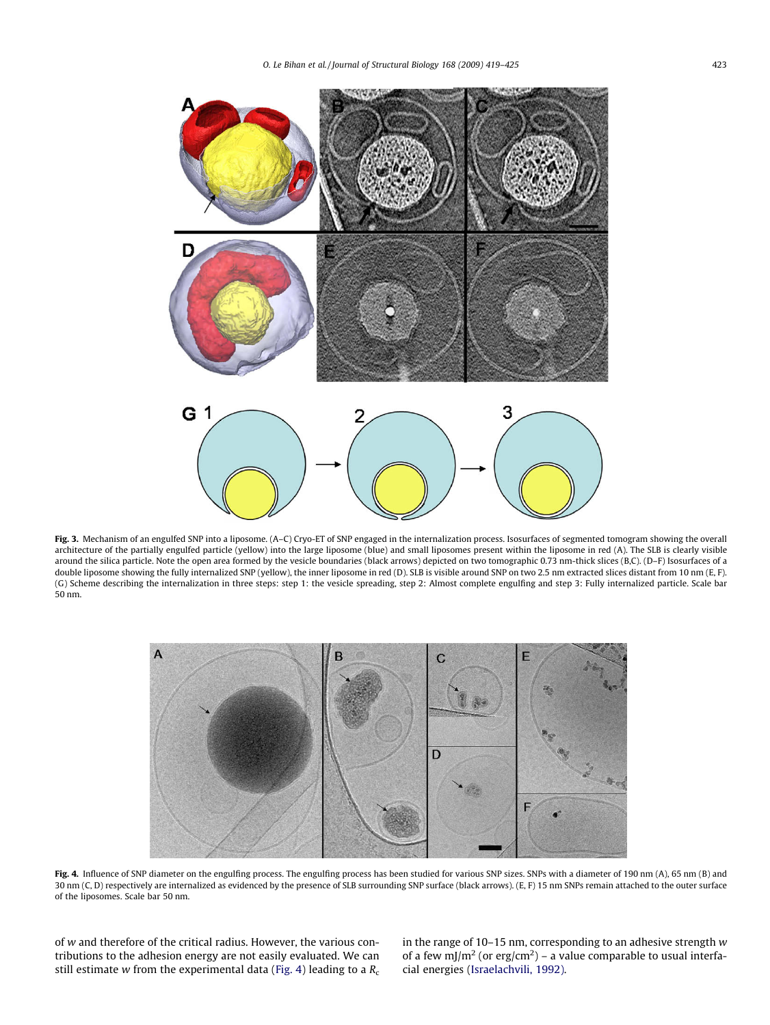<span id="page-4-0"></span>

Fig. 3. Mechanism of an engulfed SNP into a liposome. (A-C) Cryo-ET of SNP engaged in the internalization process. Isosurfaces of segmented tomogram showing the overall architecture of the partially engulfed particle (yellow) into the large liposome (blue) and small liposomes present within the liposome in red (A). The SLB is clearly visible around the silica particle. Note the open area formed by the vesicle boundaries (black arrows) depicted on two tomographic 0.73 nm-thick slices (B,C). (D–F) Isosurfaces of a double liposome showing the fully internalized SNP (yellow), the inner liposome in red (D). SLB is visible around SNP on two 2.5 nm extracted slices distant from 10 nm (E, F). (G) Scheme describing the internalization in three steps: step 1: the vesicle spreading, step 2: Almost complete engulfing and step 3: Fully internalized particle. Scale bar 50 nm.



Fig. 4. Influence of SNP diameter on the engulfing process. The engulfing process has been studied for various SNP sizes. SNPs with a diameter of 190 nm (A), 65 nm (B) and 30 nm (C, D) respectively are internalized as evidenced by the presence of SLB surrounding SNP surface (black arrows). (E, F) 15 nm SNPs remain attached to the outer surface of the liposomes. Scale bar 50 nm.

of w and therefore of the critical radius. However, the various contributions to the adhesion energy are not easily evaluated. We can still estimate w from the experimental data (Fig. 4) leading to a  $R_c$  in the range of 10–15 nm, corresponding to an adhesive strength w of a few mJ/m<sup>2</sup> (or erg/cm<sup>2</sup>) – a value comparable to usual interfacial energies ([Israelachvili, 1992\).](#page-6-0)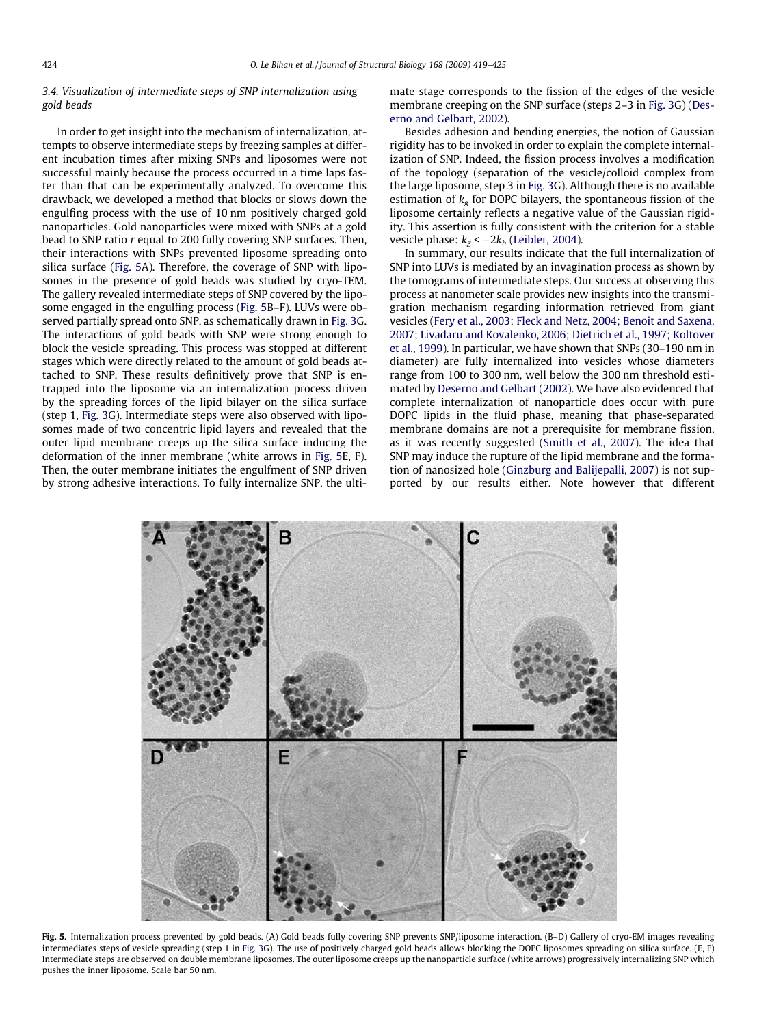#### 3.4. Visualization of intermediate steps of SNP internalization using gold beads

In order to get insight into the mechanism of internalization, attempts to observe intermediate steps by freezing samples at different incubation times after mixing SNPs and liposomes were not successful mainly because the process occurred in a time laps faster than that can be experimentally analyzed. To overcome this drawback, we developed a method that blocks or slows down the engulfing process with the use of 10 nm positively charged gold nanoparticles. Gold nanoparticles were mixed with SNPs at a gold bead to SNP ratio r equal to 200 fully covering SNP surfaces. Then, their interactions with SNPs prevented liposome spreading onto silica surface (Fig. 5A). Therefore, the coverage of SNP with liposomes in the presence of gold beads was studied by cryo-TEM. The gallery revealed intermediate steps of SNP covered by the liposome engaged in the engulfing process (Fig. 5B–F). LUVs were observed partially spread onto SNP, as schematically drawn in [Fig. 3](#page-4-0)G. The interactions of gold beads with SNP were strong enough to block the vesicle spreading. This process was stopped at different stages which were directly related to the amount of gold beads attached to SNP. These results definitively prove that SNP is entrapped into the liposome via an internalization process driven by the spreading forces of the lipid bilayer on the silica surface (step 1, [Fig. 3G](#page-4-0)). Intermediate steps were also observed with liposomes made of two concentric lipid layers and revealed that the outer lipid membrane creeps up the silica surface inducing the deformation of the inner membrane (white arrows in Fig. 5E, F). Then, the outer membrane initiates the engulfment of SNP driven by strong adhesive interactions. To fully internalize SNP, the ultimate stage corresponds to the fission of the edges of the vesicle membrane creeping on the SNP surface (steps 2–3 in [Fig. 3G](#page-4-0)) ([Des](#page-6-0)[erno and Gelbart, 2002](#page-6-0)).

Besides adhesion and bending energies, the notion of Gaussian rigidity has to be invoked in order to explain the complete internalization of SNP. Indeed, the fission process involves a modification of the topology (separation of the vesicle/colloid complex from the large liposome, step 3 in [Fig. 3](#page-4-0)G). Although there is no available estimation of  $k_g$  for DOPC bilayers, the spontaneous fission of the liposome certainly reflects a negative value of the Gaussian rigidity. This assertion is fully consistent with the criterion for a stable vesicle phase:  $k_g < -2k_b$  [\(Leibler, 2004](#page-6-0)).

In summary, our results indicate that the full internalization of SNP into LUVs is mediated by an invagination process as shown by the tomograms of intermediate steps. Our success at observing this process at nanometer scale provides new insights into the transmigration mechanism regarding information retrieved from giant vesicles ([Fery et al., 2003; Fleck and Netz, 2004; Benoit and Saxena,](#page-6-0) [2007; Livadaru and Kovalenko, 2006; Dietrich et al., 1997; Koltover](#page-6-0) [et al., 1999\)](#page-6-0). In particular, we have shown that SNPs (30–190 nm in diameter) are fully internalized into vesicles whose diameters range from 100 to 300 nm, well below the 300 nm threshold estimated by [Deserno and Gelbart \(2002\)](#page-6-0). We have also evidenced that complete internalization of nanoparticle does occur with pure DOPC lipids in the fluid phase, meaning that phase-separated membrane domains are not a prerequisite for membrane fission, as it was recently suggested ([Smith et al., 2007](#page-6-0)). The idea that SNP may induce the rupture of the lipid membrane and the formation of nanosized hole ([Ginzburg and Balijepalli, 2007](#page-6-0)) is not supported by our results either. Note however that different



Fig. 5. Internalization process prevented by gold beads. (A) Gold beads fully covering SNP prevents SNP/liposome interaction. (B–D) Gallery of cryo-EM images revealing intermediates steps of vesicle spreading (step 1 in [Fig. 3G](#page-4-0)). The use of positively charged gold beads allows blocking the DOPC liposomes spreading on silica surface. (E, F) Intermediate steps are observed on double membrane liposomes. The outer liposome creeps up the nanoparticle surface (white arrows) progressively internalizing SNP which pushes the inner liposome. Scale bar 50 nm.